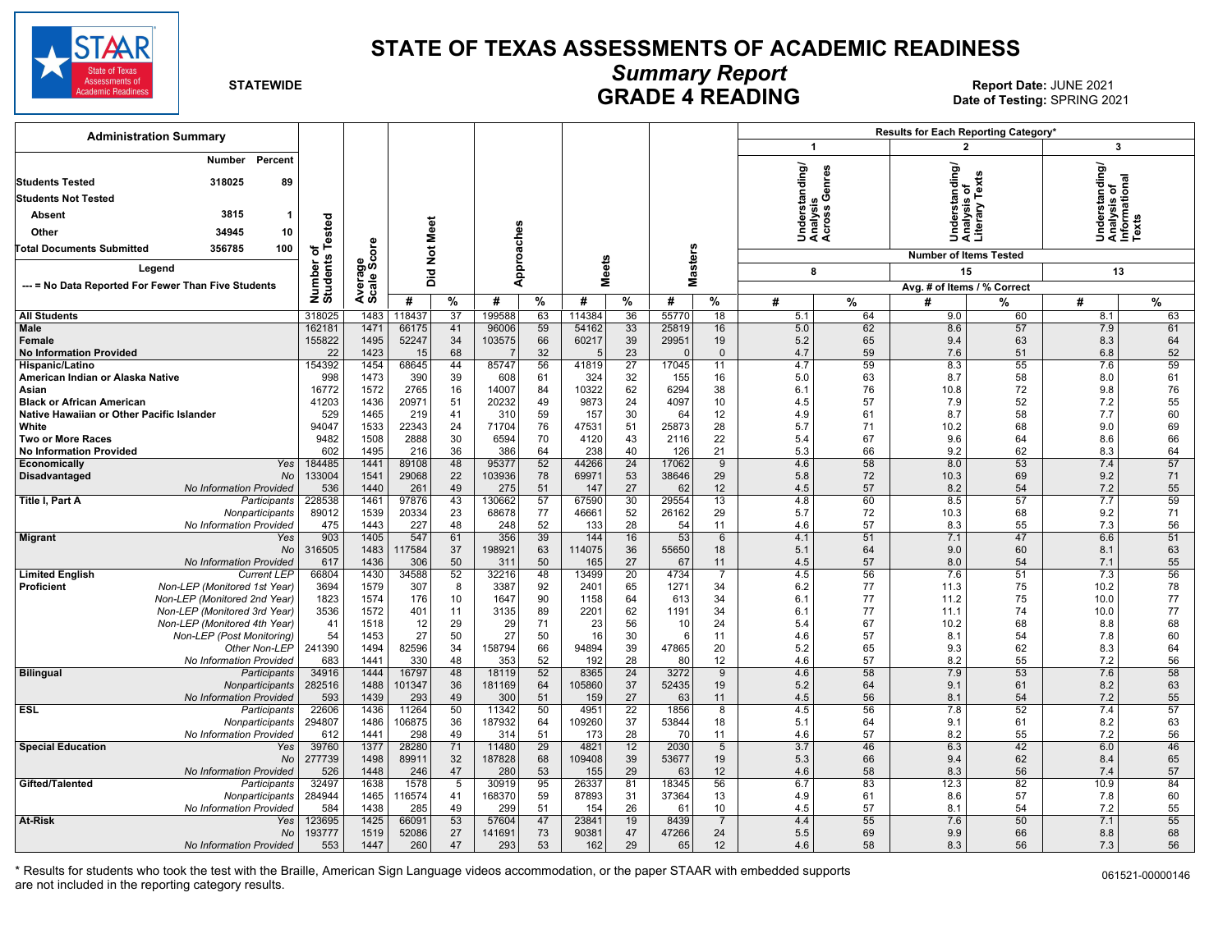

#### **STATE OF TEXAS ASSESSMENTS OF ACADEMIC READINESS**

# *Summary Report*

**GRADE 4 READING Report Date: JUNE 2021**<br>2021 Date of Testing: SPRING **GRADE 4 READING Date of Testing:** SPRING 2021

| <b>Administration Summary</b>                                       |                       |                |               |                 |               |                 |               |                 |             |                    |                  |          | Results for Each Reporting Category*            |                 |                                                               |          |  |
|---------------------------------------------------------------------|-----------------------|----------------|---------------|-----------------|---------------|-----------------|---------------|-----------------|-------------|--------------------|------------------|----------|-------------------------------------------------|-----------------|---------------------------------------------------------------|----------|--|
|                                                                     |                       |                |               |                 |               |                 |               |                 |             |                    | $\mathbf{1}$     |          | $\overline{2}$                                  |                 | 3                                                             |          |  |
| Percent<br>Number                                                   |                       |                |               |                 |               |                 |               |                 |             |                    |                  |          | Understanding/<br>Analysis of<br>Literary Texts |                 | Understanding/<br>  Analysis of<br>  Informational<br>  Texts |          |  |
| <b>Students Tested</b><br>318025<br>89                              |                       |                |               |                 |               |                 |               |                 |             |                    |                  | enres    |                                                 |                 |                                                               |          |  |
| <b>Students Not Tested</b>                                          |                       |                |               |                 |               |                 |               |                 |             |                    | rstanding/       | თ ტ      |                                                 |                 |                                                               |          |  |
| 3815<br>Absent<br>-1                                                |                       |                |               |                 |               |                 |               |                 |             |                    |                  | " ა      |                                                 |                 |                                                               |          |  |
| Other<br>34945<br>10                                                |                       |                |               |                 |               |                 |               |                 |             |                    | 흉습               |          |                                                 |                 |                                                               |          |  |
| <b>Total Documents Submitted</b><br>356785<br>100                   | Tested                |                |               |                 |               |                 |               |                 |             |                    | र्ड ई ई          |          |                                                 |                 |                                                               |          |  |
|                                                                     | ৳                     | ge<br>Score    | Not Meet      |                 |               |                 |               |                 |             |                    |                  |          | <b>Number of Items Tested</b>                   |                 |                                                               |          |  |
| Legend                                                              | Number of<br>Students |                | bid           |                 | Approaches    |                 | <b>Meets</b>  |                 |             | Masters            | 8                |          | 15                                              |                 | 13                                                            |          |  |
| --- = No Data Reported For Fewer Than Five Students                 |                       | Avera<br>Scale |               |                 |               |                 |               |                 |             |                    |                  |          | Avg. # of Items / % Correct                     |                 |                                                               |          |  |
|                                                                     |                       |                | #             | %               | #             | %               | #             | %               | #           | %                  | #                | %        | #                                               | %               | #                                                             | %        |  |
| <b>All Students</b>                                                 | 318025                | 1483           | 18437         | 37              | 199588        | 63              | 114384        | 36              | 55770       | 18                 | 5.1              | 64       | 9.0                                             | 60              | 8.1                                                           | 63       |  |
| Male                                                                | 162181                | 1471<br>1495   | 66175         | 41              | 96006         | 59              | 54162         | 33              | 25819       | 16                 | 5.0              | 62       | 8.6                                             | 57              | 7.9                                                           | 61       |  |
| Female<br><b>No Information Provided</b>                            | 155822<br>22          | 1423           | 52247<br>15   | 34<br>68        | 103575        | 66<br>32        | 60217         | 39<br>23        | 29951       | 19<br>$\mathbf{0}$ | 5.2<br>4.7       | 65<br>59 | 9.4<br>7.6                                      | 63<br>51        | 8.3<br>6.8                                                    | 64<br>52 |  |
| Hispanic/Latino                                                     | 154392                | 1454           | 68645         | 44              | 85747         | 56              | 41819         | $\overline{27}$ | 17045       | 11                 | 4.7              | 59       | 8.3                                             | 55              | 7.6                                                           | 59       |  |
| American Indian or Alaska Native                                    | 998                   | 1473           | 390           | 39              | 608           | 61              | 324           | 32              | 155         | 16                 | 5.0              | 63       | 8.7                                             | 58              | 8.0                                                           | 61       |  |
| Asian                                                               | 16772                 | 1572           | 2765          | 16              | 14007         | 84              | 10322         | 62              | 6294        | 38                 | 6.1              | 76       | 10.8                                            | 72              | 9.8                                                           | 76       |  |
| <b>Black or African American</b>                                    | 41203                 | 1436<br>1465   | 20971         | 51<br>41        | 20232         | 49<br>59        | 9873          | 24<br>30        | 4097        | 10<br>12           | 4.5              | 57       | 7.9                                             | 52              | 7.2                                                           | 55<br>60 |  |
| Native Hawaiian or Other Pacific Islander<br>White                  | 529<br>94047          | 1533           | 219<br>22343  | 24              | 310<br>71704  | 76              | 157<br>47531  | 51              | 64<br>25873 | 28                 | 4.9<br>5.7       | 61<br>71 | 8.7<br>10.2                                     | 58<br>68        | 7.7<br>9.0                                                    | 69       |  |
| <b>Two or More Races</b>                                            | 9482                  | 1508           | 2888          | 30              | 6594          | 70              | 4120          | 43              | 2116        | 22                 | 5.4              | 67       | 9.6                                             | 64              | 8.6                                                           | 66       |  |
| <b>No Information Provided</b>                                      | 602                   | 1495           | 216           | 36              | 386           | 64              | 238           | 40              | 126         | 21                 | 5.3              | 66       | 9.2                                             | 62              | 8.3                                                           | 64       |  |
| Economically<br>Yes                                                 | 184485                | 1441           | 89108         | 48              | 95377         | 52              | 44266         | 24              | 17062       | 9                  | 4.6              | 58       | 8.0                                             | 53              | 7.4                                                           | 57       |  |
| <b>No</b><br><b>Disadvantaged</b><br><b>No Information Provided</b> | 133004<br>536         | 1541<br>1440   | 29068<br>261  | 22<br>49        | 103936<br>275 | 78<br>51        | 69971<br>147  | 53<br>27        | 38646<br>62 | 29<br>12           | 5.8<br>4.5       | 72<br>57 | 10.3<br>8.2                                     | 69<br>54        | 9.2<br>7.2                                                    | 71<br>55 |  |
| Title I, Part A<br>Participants                                     | 228538                | 1461           | 97876         | 43              | 130662        | 57              | 67590         | 30              | 29554       | 13                 | 4.8              | 60       | 8.5                                             | 57              | 7.7                                                           | 59       |  |
| Nonparticipants                                                     | 89012                 | 1539           | 20334         | 23              | 68678         | 77              | 46661         | 52              | 26162       | 29                 | 5.7              | 72       | 10.3                                            | 68              | 9.2                                                           | 71       |  |
| No Information Provided                                             | 475                   | 1443           | 227           | 48              | 248           | 52              | 133           | 28              | 54          | 11                 | 4.6              | 57       | 8.3                                             | 55              | 7.3                                                           | 56       |  |
| <b>Migrant</b><br>Yes                                               | 903                   | 1405           | 547           | 61              | 356<br>198921 | 39              | 144<br>114075 | 16              | 53          | $6\phantom{1}$     | 4.1              | 51       | 7.1<br>9.0                                      | 47<br>60        | 6.6                                                           | 51<br>63 |  |
| <b>No</b><br><b>No Information Provided</b>                         | 316505<br>617         | 1483<br>1436   | 17584<br>306  | 37<br>50        | 311           | 63<br>50        | 165           | 36<br>27        | 55650<br>67 | 18<br>11           | 5.1<br>4.5       | 64<br>57 | 8.0                                             | 54              | 8.1<br>7.1                                                    | 55       |  |
| <b>Limited English</b><br><b>Current LEP</b>                        | 66804                 | 1430           | 34588         | 52              | 32216         | 48              | 13499         | $\overline{20}$ | 4734        | $\overline{7}$     | 4.5              | 56       | 7.6                                             | 51              | 7.3                                                           | 56       |  |
| <b>Proficient</b><br>Non-LEP (Monitored 1st Year)                   | 3694                  | 1579           | 307           | 8               | 3387          | 92              | 2401          | 65              | 1271        | 34                 | 6.2              | 77       | 11.3                                            | 75              | 10.2                                                          | 78       |  |
| Non-LEP (Monitored 2nd Year)                                        | 1823                  | 1574           | 176           | 10              | 1647          | 90              | 1158          | 64              | 613         | 34                 | 6.1              | 77       | 11.2                                            | 75              | 10.0                                                          | 77       |  |
| Non-LEP (Monitored 3rd Year)<br>Non-LEP (Monitored 4th Year)        | 3536<br>41            | 1572<br>1518   | 401<br>12     | 11<br>29        | 3135<br>29    | 89<br>71        | 2201<br>23    | 62<br>56        | 1191<br>10  | 34<br>24           | 6.1<br>5.4       | 77<br>67 | 11.1<br>10.2                                    | 74<br>68        | 10.0<br>8.8                                                   | 77<br>68 |  |
| Non-LEP (Post Monitoring)                                           | 54                    | 1453           | 27            | 50              | 27            | 50              | 16            | 30              | 6           | 11                 | 4.6              | 57       | 8.1                                             | 54              | 7.8                                                           | 60       |  |
| Other Non-LEP                                                       | 241390                | 1494           | 82596         | 34              | 158794        | 66              | 94894         | 39              | 47865       | 20                 | 5.2              | 65       | 9.3                                             | 62              | 8.3                                                           | 64       |  |
| No Information Provided                                             | 683                   | 1441           | 330           | 48              | 353           | 52              | 192           | 28              | 80          | 12                 | 4.6              | 57       | 8.2                                             | 55              | 7.2                                                           | 56       |  |
| <b>Bilingual</b><br>Participants                                    | 34916                 | 1444           | 16797         | 48              | 18119         | 52              | 8365          | $\overline{24}$ | 3272        | 9                  | 4.6              | 58       | 7.9                                             | 53              | 7.6                                                           | 58       |  |
| Nonparticipants<br><b>No Information Provided</b>                   | 282516<br>593         | 1488<br>1439   | 101347<br>293 | 36<br>49        | 181169<br>300 | 64<br>51        | 105860<br>159 | 37<br>27        | 52435<br>63 | 19<br>11           | 5.2<br>4.5       | 64<br>56 | 9.1<br>8.1                                      | 61<br>54        | 8.2<br>7.2                                                    | 63<br>55 |  |
| <b>ESL</b><br>Participants                                          | 22606                 | 1436           | 11264         | 50              | 11342         | 50              | 4951          | 22              | 1856        | 8                  | 4.5              | 56       | 7.8                                             | 52              | 7.4                                                           | 57       |  |
| Nonparticipants                                                     | 294807                | 1486           | 106875        | 36              | 187932        | 64              | 109260        | 37              | 53844       | 18                 | 5.1              | 64       | 9.1                                             | 61              | 8.2                                                           | 63       |  |
| No Information Provided                                             | 612                   | 1441           | 298           | 49              | 314           | 51              | 173           | 28              | 70          | 11                 | 4.6              | 57       | 8.2                                             | 55              | 7.2                                                           | 56       |  |
| <b>Special Education</b><br>Yes                                     | 39760                 | 1377           | 28280         | $\overline{71}$ | 11480         | $\overline{29}$ | 4821          | $\overline{12}$ | 2030        | 5                  | $\overline{3.7}$ | 46       | 6.3                                             | 42              | 6.0                                                           | 46       |  |
| <b>No</b><br>No Information Provided                                | 277739<br>526         | 1498<br>1448   | 89911<br>246  | 32<br>47        | 187828<br>280 | 68<br>53        | 109408<br>155 | 39<br>29        | 53677<br>63 | 19<br>12           | 5.3<br>4.6       | 66<br>58 | 9.4<br>8.3                                      | 62<br>56        | 8.4<br>7.4                                                    | 65<br>57 |  |
| Gifted/Talented<br>Participants                                     | 32497                 | 1638           | 1578          | $\overline{5}$  | 30919         | 95              | 26337         | 81              | 18345       | 56                 | 6.7              | 83       | 12.3                                            | $\overline{82}$ | 10.9                                                          | 84       |  |
| Nonparticipants                                                     | 284944                | 1465           | 116574        | 41              | 168370        | 59              | 87893         | 31              | 37364       | 13                 | 4.9              | 61       | 8.6                                             | 57              | 7.8                                                           | 60       |  |
| No Information Provided                                             | 584                   | 1438           | 285           | 49              | 299           | 51              | 154           | 26              | 61          | 10                 | 4.5              | 57       | 8.1                                             | 54              | 7.2                                                           | 55       |  |
| At-Risk<br>Yes                                                      | 123695                | 1425           | 66091         | 53              | 57604         | 47              | 23841         | 19              | 8439        | $\overline{7}$     | 4.4              | 55       | 7.6                                             | 50              | 7.1                                                           | 55       |  |
| No<br>No Information Provided                                       | 193777<br>553         | 1519<br>1447   | 52086<br>260  | 27<br>47        | 141691<br>293 | 73<br>53        | 90381<br>162  | 47<br>29        | 47266<br>65 | 24<br>12           | 5.5<br>4.6       | 69<br>58 | 9.9<br>8.3                                      | 66<br>56        | 8.8<br>7.3                                                    | 68<br>56 |  |
|                                                                     |                       |                |               |                 |               |                 |               |                 |             |                    |                  |          |                                                 |                 |                                                               |          |  |

\* Results for students who took the test with the Braille, American Sign Language videos accommodation, or the paper STAAR with embedded supports are not included in the reporting category results.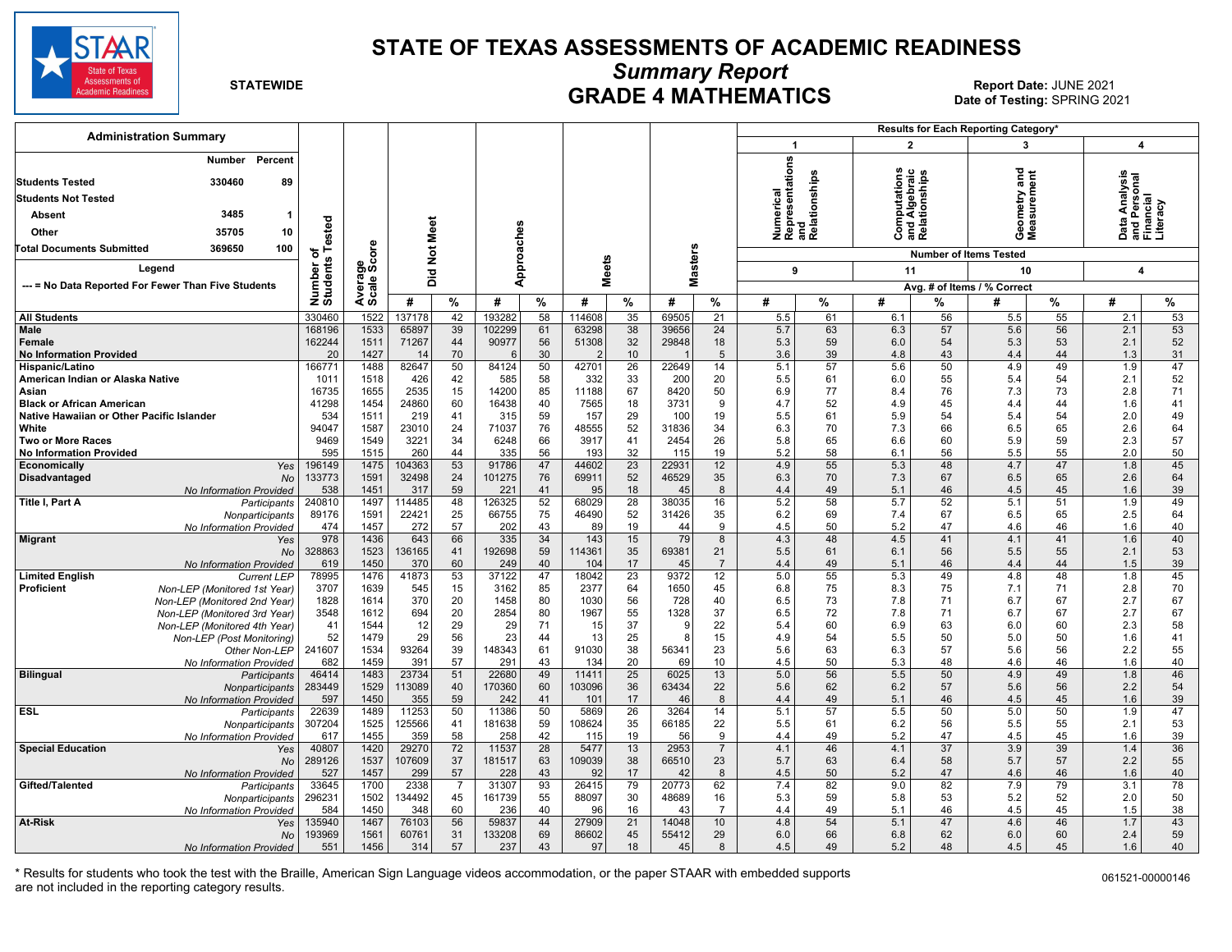

#### **STATE OF TEXAS ASSESSMENTS OF ACADEMIC READINESS**

*Summary Report* 

**GRADE 4 MATHEMATICS Report Date: JUNE 2021**<br>2023 Date of Testing: SPRING 20: **Date of Testing:** SPRING 2021

| <b>Administration Summary</b>                                                          |                       |                      |                |                |               |                 |               |                       |                |                      |                                                      |          |                                                            |                 | <b>Results for Each Reporting Category'</b> |                 |                            |          |
|----------------------------------------------------------------------------------------|-----------------------|----------------------|----------------|----------------|---------------|-----------------|---------------|-----------------------|----------------|----------------------|------------------------------------------------------|----------|------------------------------------------------------------|-----------------|---------------------------------------------|-----------------|----------------------------|----------|
|                                                                                        |                       |                      |                |                |               |                 |               |                       |                |                      | $\mathbf 1$                                          |          | $\overline{2}$                                             |                 | 3                                           |                 | 4                          |          |
| Number Percent<br><b>Students Tested</b><br>330460<br>89<br><b>Students Not Tested</b> |                       |                      |                |                |               |                 |               |                       |                |                      | Numerical<br>Representations<br>and<br>Relationships |          | ഗ<br><b>Computations</b><br>and Algebraic<br>Relationships |                 | ъ<br>a<br>eometry<br>leasurem               | ã               | <b>Ta</b><br>Analysi<br>훈쥳 | ত ল      |
| 3485<br><b>Absent</b><br>$\mathbf 1$                                                   |                       |                      |                |                |               |                 |               |                       |                |                      |                                                      |          |                                                            |                 |                                             |                 |                            |          |
| 35705<br>10<br>Other                                                                   | ested                 |                      | Meet           |                |               |                 |               |                       |                |                      |                                                      |          |                                                            |                 | ΟΣ                                          |                 | o                          | எட       |
| 369650<br>100<br><b>Total Documents Submitted</b>                                      | ۴                     | ð                    |                |                |               |                 |               |                       |                |                      |                                                      |          |                                                            |                 | <b>Number of Items Tested</b>               |                 |                            |          |
|                                                                                        | ቴ                     |                      | $\overline{5}$ |                | Approaches    |                 |               |                       | <b>Masters</b> |                      |                                                      |          |                                                            |                 |                                             |                 |                            |          |
| Leaend                                                                                 |                       |                      | Did            |                |               |                 | <b>Meets</b>  |                       |                |                      | 9                                                    |          | 11                                                         |                 | 10                                          |                 | $\overline{\mathbf{4}}$    |          |
| --- = No Data Reported For Fewer Than Five Students                                    |                       |                      |                |                |               |                 |               |                       |                |                      |                                                      |          |                                                            |                 | Avg. # of Items / % Correct                 |                 |                            |          |
|                                                                                        | Number of<br>Students | Average<br>Scale Scc | #              | %              | #             | %               | #             | %                     | #              | %                    | #                                                    | %        | #                                                          | %               | #                                           | %               | #                          | %        |
| <b>All Students</b>                                                                    | 330460                | 1522                 | 137178         | 42             | 193282        | $\overline{58}$ | 114608        | 35                    | 69505          | $\overline{21}$      | 5.5                                                  | 61       | 6.1                                                        | 56              | 5.5                                         | $\overline{55}$ | 2.1                        | 53       |
| Male                                                                                   | 168196                | 1533                 | 65897          | 39             | 102299        | 61              | 63298         | 38                    | 39656          | 24                   | 5.7                                                  | 63       | 6.3                                                        | 57              | 5.6                                         | 56              | 2.1                        | 53       |
| Female                                                                                 | 162244                | 1511                 | 71267          | 44             | 90977         | 56              | 51308         | 32                    | 29848          | 18                   | 5.3                                                  | 59       | 6.0                                                        | 54              | 5.3                                         | 53              | 2.1                        | 52       |
| <b>No Information Provided</b>                                                         | 20                    | 1427                 | 14             | 70             | 6             | 30              |               | 10                    |                | $5\phantom{.0}$      | 3.6                                                  | 39       | 4.8                                                        | 43              | 4.4                                         | 44              | 1.3                        | 31       |
| Hispanic/Latino                                                                        | 166771                | 1488                 | 82647          | 50             | 84124         | 50              | 42701         | 26                    | 22649          | 14                   | 5.1                                                  | 57       | 5.6                                                        | 50              | 4.9                                         | 49              | 1.9                        | 47       |
| American Indian or Alaska Native                                                       | 1011                  | 1518                 | 426            | 42             | 585           | 58              | 332           | 33                    | 200            | 20                   | 5.5                                                  | 61       | 6.0                                                        | 55              | 5.4                                         | 54              | 2.1                        | 52       |
| Asian                                                                                  | 16735                 | 1655                 | 2535           | 15             | 14200         | 85              | 11188         | 67                    | 8420           | 50                   | 6.9                                                  | 77       | 8.4                                                        | 76              | 7.3                                         | 73<br>44        | 2.8                        | 71       |
| <b>Black or African American</b><br>Native Hawaiian or Other Pacific Islander          | 41298                 | 1454                 | 24860          | 60<br>41       | 16438<br>315  | 40<br>59        | 7565          | 18<br>29              | 3731<br>100    | 9<br>19              | 4.7                                                  | 52<br>61 | 4.9<br>5.9                                                 | 45<br>54        | 4.4                                         | 54              | 1.6<br>2.0                 | 41<br>49 |
| White                                                                                  | 534<br>94047          | 1511<br>1587         | 219<br>23010   | 24             | 71037         | 76              | 157<br>48555  | 52                    | 31836          | 34                   | 5.5<br>6.3                                           | 70       | 7.3                                                        | 66              | 5.4<br>6.5                                  | 65              | 2.6                        | 64       |
| Two or More Races                                                                      | 9469                  | 1549                 | 3221           | 34             | 6248          | 66              | 3917          | 41                    | 2454           | 26                   | 5.8                                                  | 65       | 6.6                                                        | 60              | 5.9                                         | 59              | 2.3                        | 57       |
| <b>No Information Provided</b>                                                         | 595                   | 1515                 | 260            | 44             | 335           | 56              | 193           | 32                    | 115            | 19                   | 5.2                                                  | 58       | 6.1                                                        | 56              | 5.5                                         | 55              | 2.0                        | 50       |
| Economically<br>Yes                                                                    | 196149                | 1475                 | 104363         | 53             | 91786         | 47              | 44602         | 23                    | 22931          | 12                   | 4.9                                                  | 55       | 5.3                                                        | 48              | 4.7                                         | 47              | 1.8                        | 45       |
| <b>Disadvantaged</b><br><b>No</b>                                                      | 133773                | 1591                 | 32498          | 24             | 101275        | 76              | 69911         | 52                    | 46529          | 35                   | 6.3                                                  | 70       | 7.3                                                        | 67              | 6.5                                         | 65              | 2.6                        | 64       |
| No Information Provided                                                                | 538                   | 1451                 | 317            | 59             | 221           | 41              | 95            | 18                    | 45             | 8                    | 4.4                                                  | 49       | 5.1                                                        | 46              | 4.5                                         | 45              | 1.6                        | 39       |
| Title I, Part A<br><b>Participants</b>                                                 | 240810                | 1497                 | 114485         | 48             | 126325        | 52              | 68029         | 28                    | 38035          | 16                   | 5.2                                                  | 58       | 5.7                                                        | 52              | 5.1                                         | 51              | 1.9                        | 49       |
| Nonparticipants                                                                        | 89176                 | 1591                 | 22421          | 25             | 66755         | 75              | 46490         | 52                    | 31426          | 35                   | 6.2                                                  | 69       | 7.4                                                        | 67              | 6.5                                         | 65              | 2.5                        | 64       |
| No Information Provided                                                                | 474                   | 1457                 | 272            | 57             | 202           | 43              | 89            | 19                    | 44             | 9                    | 4.5                                                  | 50       | 5.2                                                        | 47              | 4.6                                         | 46              | 1.6                        | 40       |
| <b>Migrant</b><br>Yes                                                                  | 978                   | 1436                 | 643            | 66             | 335           | 34              | 143           | 15                    | 79             | 8                    | 4.3                                                  | 48       | 4.5                                                        | 41              | 4.1                                         | 41              | 1.6                        | 40       |
| <b>No</b>                                                                              | 328863<br>619         | 1523<br>1450         | 136165<br>370  | 41<br>60       | 192698<br>249 | 59<br>40        | 114361<br>104 | 35<br>17              | 69381<br>45    | 21<br>$\overline{7}$ | 5.5<br>4.4                                           | 61<br>49 | 6.1<br>5.1                                                 | 56<br>46        | 5.5<br>4.4                                  | 55<br>44        | 2.1<br>1.5                 | 53<br>39 |
| No Information Provided<br><b>Limited English</b><br><b>Current LEP</b>                | 78995                 | 1476                 | 41873          | 53             | 37122         | 47              | 18042         | 23                    | 9372           | 12                   | 5.0                                                  | 55       | 5.3                                                        | 49              | 4.8                                         | 48              | 1.8                        | 45       |
| Proficient<br>Non-LEP (Monitored 1st Year)                                             | 3707                  | 1639                 | 545            | 15             | 3162          | 85              | 2377          | 64                    | 1650           | 45                   | 6.8                                                  | 75       | 8.3                                                        | 75              | 7.1                                         | 71              | 2.8                        | 70       |
| Non-LEP (Monitored 2nd Year)                                                           | 1828                  | 1614                 | 370            | 20             | 1458          | 80              | 1030          | 56                    | 728            | 40                   | 6.5                                                  | 73       | 7.8                                                        | 71              | 6.7                                         | 67              | 2.7                        | 67       |
| Non-LEP (Monitored 3rd Year)                                                           | 3548                  | 1612                 | 694            | 20             | 2854          | 80              | 1967          | 55                    | 1328           | 37                   | 6.5                                                  | 72       | 7.8                                                        | 71              | 6.7                                         | 67              | 2.7                        | 67       |
| Non-LEP (Monitored 4th Year)                                                           | 41                    | 1544                 | 12             | 29             | 29            | 71              | 15            | 37                    | 9              | 22                   | 5.4                                                  | 60       | 6.9                                                        | 63              | 6.0                                         | 60              | 2.3                        | 58       |
| Non-LEP (Post Monitoring)                                                              | 52                    | 1479                 | 29             | 56             | 23            | 44              | 13            | 25                    | 8              | 15                   | 4.9                                                  | 54       | 5.5                                                        | 50              | 5.0                                         | 50              | 1.6                        | 41       |
| Other Non-LEP                                                                          | 241607                | 1534                 | 93264          | 39             | 148343        | 61              | 91030         | 38                    | 56341          | 23                   | 5.6                                                  | 63       | 6.3                                                        | 57              | 5.6                                         | 56              | 2.2                        | 55       |
| No Information Provided                                                                | 682                   | 1459                 | 391            | 57             | 291           | 43              | 134           | 20                    | 69             | 10                   | 4.5                                                  | 50       | 5.3                                                        | 48              | 4.6                                         | 46              | 1.6                        | 40       |
| <b>Bilingual</b><br>Participants                                                       | 46414                 | 1483                 | 23734          | 51             | 22680         | 49              | 11411         | 25                    | 6025           | 13                   | 5.0                                                  | 56       | 5.5                                                        | 50              | 4.9                                         | 49              | 1.8                        | 46       |
| <b>Nonparticipants</b>                                                                 | 283449                | 1529                 | 113089         | 40             | 170360        | 60              | 103096        | 36                    | 63434          | 22                   | 5.6                                                  | 62       | 6.2                                                        | 57              | 5.6                                         | 56              | 2.2                        | 54       |
| No Information Provided<br><b>ESL</b>                                                  | 597<br>22639          | 1450<br>1489         | 355<br>11253   | 59<br>50       | 242<br>11386  | 41<br>50        | 101<br>5869   | 17<br>$\overline{26}$ | 46<br>3264     | 8<br>14              | 4.4<br>5.1                                           | 49<br>57 | 5.1<br>5.5                                                 | 46<br>50        | 4.5<br>5.0                                  | 45<br>50        | 1.6<br>1.9                 | 39<br>47 |
| Participants<br>Nonparticipants                                                        | 307204                | 1525                 | 125566         | 41             | 181638        | 59              | 108624        | 35                    | 66185          | 22                   | 5.5                                                  | 61       | 6.2                                                        | 56              | 5.5                                         | 55              | 2.1                        | 53       |
| No Information Provided                                                                | 617                   | 1455                 | 359            | 58             | 258           | 42              | 115           | 19                    | 56             | 9                    | 4.4                                                  | 49       | 5.2                                                        | 47              | 4.5                                         | 45              | 1.6                        | 39       |
| <b>Special Education</b><br>Yes                                                        | 40807                 | 1420                 | 29270          | 72             | 11537         | 28              | 5477          | 13                    | 2953           | $\overline{7}$       | 4.1                                                  | 46       | 4.1                                                        | $\overline{37}$ | 3.9                                         | 39              | 1.4                        | 36       |
| No                                                                                     | 289126                | 1537                 | 107609         | 37             | 181517        | 63              | 109039        | 38                    | 66510          | 23                   | 5.7                                                  | 63       | 6.4                                                        | 58              | 5.7                                         | 57              | 2.2                        | 55       |
| No Information Provided                                                                | 527                   | 1457                 | 299            | 57             | 228           | 43              | 92            | 17                    | 42             | 8                    | 4.5                                                  | 50       | 5.2                                                        | 47              | 4.6                                         | 46              | 1.6                        | 40       |
| Gifted/Talented<br>Participants                                                        | 33645                 | 1700                 | 2338           | $\overline{7}$ | 31307         | 93              | 26415         | 79                    | 20773          | 62                   | 7.4                                                  | 82       | 9.0                                                        | 82              | 7.9                                         | 79              | 3.1                        | 78       |
| Nonparticipants                                                                        | 296231                | 1502                 | 134492         | 45             | 161739        | 55              | 88097         | 30                    | 48689          | 16                   | 5.3                                                  | 59       | 5.8                                                        | 53              | 5.2                                         | 52              | 2.0                        | 50       |
| No Information Provided                                                                | 584                   | 1450                 | 348            | 60             | 236           | 40              | 96            | 16                    | 43             | $\overline{7}$       | 4.4                                                  | 49       | 5.1                                                        | 46              | 4.5                                         | 45              | 1.5                        | 38       |
| <b>At-Risk</b><br>Yes                                                                  | 135940                | 1467                 | 76103          | 56             | 59837         | 44              | 27909         | $\overline{21}$       | 14048          | 10                   | 4.8                                                  | 54       | 5.1                                                        | 47              | 4.6                                         | 46              | 1.7                        | 43       |
| <b>No</b>                                                                              | 193969                | 1561                 | 60761          | 31             | 133208        | 69              | 86602         | 45                    | 55412          | 29                   | 6.0                                                  | 66       | 6.8                                                        | 62              | 6.0                                         | 60              | 2.4                        | 59       |
| No Information Provided                                                                | 551                   | 1456                 | 314            | 57             | 237           | 43              | 97            | 18                    | 45             | 8                    | 4.5                                                  | 49       | 5.2                                                        | 48              | 4.5                                         | 45              | 1.6                        | 40       |

\* Results for students who took the test with the Braille, American Sign Language videos accommodation, or the paper STAAR with embedded supports are not included in the reporting category results.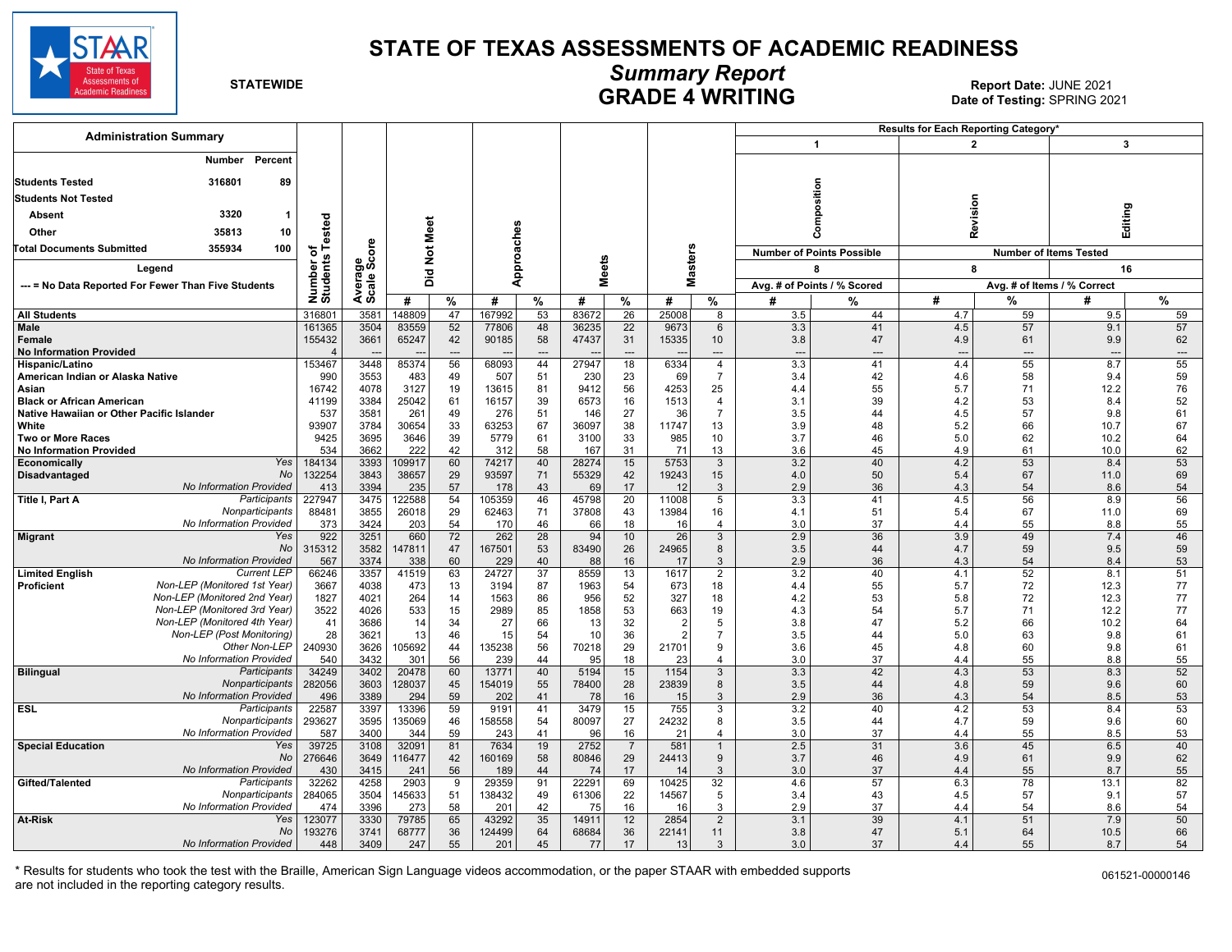

#### **STATE OF TEXAS ASSESSMENTS OF ACADEMIC READINESS**

## *Summary Report*

**GRADE 4 WRITING 6 AND Report Date:** JUNE 2021<br>Date of Testing: SPRING 2021 **Date of Testing:** SPRING 2021

| <b>Administration Summary</b>                                              |                      |                |                 |                 |                 |                 |                |                      |                 |                      |                             |                                  | Results for Each Reporting Category' |          |                               |                          |
|----------------------------------------------------------------------------|----------------------|----------------|-----------------|-----------------|-----------------|-----------------|----------------|----------------------|-----------------|----------------------|-----------------------------|----------------------------------|--------------------------------------|----------|-------------------------------|--------------------------|
|                                                                            |                      |                |                 |                 |                 |                 |                |                      |                 |                      |                             | $\mathbf{1}$                     | $\overline{2}$                       |          | 3                             |                          |
| Number<br>Percent                                                          |                      |                |                 |                 |                 |                 |                |                      |                 |                      |                             |                                  |                                      |          |                               |                          |
| <b>Students Tested</b><br>316801<br>89                                     |                      |                |                 |                 |                 |                 |                |                      |                 |                      |                             |                                  |                                      |          |                               |                          |
| <b>Students Not Tested</b>                                                 |                      |                |                 |                 |                 |                 |                |                      |                 |                      |                             | Composition                      |                                      |          |                               |                          |
|                                                                            |                      |                |                 |                 |                 |                 |                |                      |                 |                      |                             |                                  | Revision                             |          |                               |                          |
| 3320<br>Absent<br>1                                                        | ed<br>e              |                |                 |                 |                 |                 |                |                      |                 |                      |                             |                                  |                                      |          | Editing                       |                          |
| 35813<br>10<br>Other                                                       | ē                    |                |                 |                 |                 |                 |                |                      |                 |                      |                             |                                  |                                      |          |                               |                          |
| 355934<br>100<br><b>Total Documents Submitted</b>                          | ৳                    | ere            | Not Meet        |                 |                 |                 |                |                      |                 |                      |                             | <b>Number of Points Possible</b> |                                      |          | <b>Number of Items Tested</b> |                          |
| Legend<br>--- = No Data Reported For Fewer Than Five Students              |                      | န္တပ္ကိ        |                 |                 |                 | Approaches      | eets           |                      |                 | <b>Masters</b>       |                             | 8                                | 8                                    |          | 16                            |                          |
|                                                                            |                      |                | 흐<br>ā          |                 |                 |                 | ś              |                      |                 |                      | Avg. # of Points / % Scored |                                  |                                      |          | Avg. # of Items / % Correct   |                          |
|                                                                            | Number o<br>Students | Avera<br>Scale | #<br>$\%$       |                 | %<br>#          |                 | %<br>#         |                      | #               | %                    | $\frac{9}{6}$<br>#          |                                  | #                                    | %        | #                             | %                        |
| <b>All Students</b>                                                        | 316801               | 3581           | 148809          | 47              | 167992          | 53              | 83672          | $\overline{26}$      | 25008           | 8                    | 3.5                         | 44                               | 4.7                                  | 59       | 9.5                           | 59                       |
| <b>Male</b>                                                                | 161365               | 3504           | 83559           | 52              | 77806           | 48              | 36235          | $\overline{22}$      | 9673            | 6                    | 3.3                         | 41                               | 4.5                                  | 57       | 9.1                           | 57                       |
| <b>Female</b>                                                              | 155432               | 3661           | 65247           | 42              | 90185           | 58              | 47437          | 31                   | 15335           | 10                   | 3.8                         | 47                               | 4.9                                  | 61       | 9.9                           | 62                       |
| <b>No Information Provided</b>                                             |                      |                |                 | ---             |                 | $---$           |                | $---$                |                 | $---$                | $\overline{\phantom{a}}$    | $---$                            | $\overline{\phantom{a}}$             | $---$    | $\overline{\phantom{a}}$      | $\overline{\phantom{a}}$ |
| Hispanic/Latino<br>American Indian or Alaska Native                        | 153467<br>990        | 3448<br>3553   | 85374<br>483    | 56<br>49        | 68093<br>507    | 44<br>51        | 27947<br>230   | 18<br>23             | 6334<br>69      | 4<br>$\overline{7}$  | 3.3<br>3.4                  | 41<br>42                         | 4.4<br>4.6                           | 55<br>58 | 8.7<br>9.4                    | 55<br>59                 |
| Asian                                                                      | 16742                | 4078           | 3127            | 19              | 13615           | 81              | 9412           | 56                   | 4253            | 25                   | 4.4                         | 55                               | 5.7                                  | 71       | 12.2                          | 76                       |
| <b>Black or African American</b>                                           | 41199                | 3384           | 25042           | 61              | 16157           | 39              | 6573           | 16                   | 1513            | $\overline{4}$       | 3.1                         | 39                               | 4.2                                  | 53       | 8.4                           | 52                       |
| Native Hawaiian or Other Pacific Islander                                  | 537                  | 3581           | 261             | 49              | 276             | 51              | 146            | 27                   | 36              | $\overline{7}$       | 3.5                         | 44                               | 4.5                                  | 57       | 9.8                           | 61                       |
| White                                                                      | 93907                | 3784           | 30654           | 33              | 63253           | 67              | 36097          | 38                   | 11747           | 13                   | 3.9                         | 48                               | 5.2                                  | 66       | 10.7                          | 67                       |
| Two or More Races<br><b>No Information Provided</b>                        | 9425<br>534          | 3695<br>3662   | 3646<br>222     | 39<br>42        | 5779<br>312     | 61<br>58        | 3100<br>167    | 33<br>31             | 985<br>71       | 10<br>13             | 3.7<br>3.6                  | 46<br>45                         | 5.0<br>4.9                           | 62<br>61 | 10.2<br>10.0                  | 64<br>62                 |
| Yes<br>Economically                                                        | 184134               | 3393           | 109917          | 60              | 74217           | 40              | 28274          | 15                   | 5753            | 3                    | 3.2                         | 40                               | 4.2                                  | 53       | 8.4                           | 53                       |
| No<br>Disadvantaged                                                        | 132254               | 3843           | 38657           | 29              | 93597           | 71              | 55329          | 42                   | 19243           | 15                   | 4.0                         | 50                               | 5.4                                  | 67       | 11.0                          | 69                       |
| No Information Provided                                                    | 413                  | 3394           | 235             | 57              | 178             | 43              | 69             | 17                   | 12              | $\mathbf{3}$         | 2.9                         | 36                               | 4.3                                  | 54       | 8.6                           | 54                       |
| Title I, Part A<br>Participants                                            | 227947               | 3475           | 122588          | 54              | 105359          | 46              | 45798          | $\overline{20}$      | 11008           | $\overline{5}$       | 3.3                         | 41                               | 4.5                                  | 56       | 8.9                           | 56                       |
| Nonparticipants<br>No Information Provided                                 | 88481<br>373         | 3855<br>3424   | 26018<br>203    | 29<br>54        | 62463<br>170    | 71<br>46        | 37808<br>66    | 43<br>18             | 13984<br>16     | 16<br>$\overline{4}$ | 4.1<br>3.0                  | 51<br>37                         | 5.4<br>4.4                           | 67<br>55 | 11.0<br>8.8                   | 69<br>55                 |
| Yes<br><b>Migrant</b>                                                      | 922                  | 3251           | 660             | 72              | 262             | $\overline{28}$ | 94             | 10                   | $\overline{26}$ | $\overline{3}$       | 2.9                         | 36                               | 3.9                                  | 49       | 7.4                           | 46                       |
| No                                                                         | 315312               | 3582           | 47811           | 47              | 167501          | 53              | 83490          | 26                   | 24965           | 8                    | 3.5                         | 44                               | 4.7                                  | 59       | 9.5                           | 59                       |
| <b>No Information Provided</b>                                             | 567                  | 3374           | 338             | 60              | 229             | 40              | 88             | 16                   | 17              | 3                    | 2.9                         | 36                               | 4.3                                  | 54       | 8.4                           | 53                       |
| <b>Current LEP</b><br><b>Limited English</b>                               | 66246                | 3357           | 41519           | 63              | 24727           | 37              | 8559           | 13                   | 1617            | $\overline{2}$       | 3.2                         | 40                               | 4.1                                  | 52       | 8.1                           | 51                       |
| Non-LEP (Monitored 1st Year)<br>Proficient<br>Non-LEP (Monitored 2nd Year) | 3667<br>1827         | 4038<br>4021   | 473<br>264      | 13<br>14        | 3194<br>1563    | 87<br>86        | 1963<br>956    | 54<br>52             | 673<br>327      | 18<br>18             | 4.4<br>4.2                  | 55<br>53                         | 5.7<br>5.8                           | 72<br>72 | 12.3<br>12.3                  | 77<br>77                 |
| Non-LEP (Monitored 3rd Year)                                               | 3522                 | 4026           | 533             | 15              | 2989            | 85              | 1858           | 53                   | 663             | 19                   | 4.3                         | 54                               | 5.7                                  | 71       | 12.2                          | 77                       |
| Non-LEP (Monitored 4th Year)                                               | 41                   | 3686           | 14              | 34              | 27              | 66              | 13             | 32                   |                 | 5                    | 3.8                         | 47                               | 5.2                                  | 66       | 10.2                          | 64                       |
| Non-LEP (Post Monitoring)                                                  | 28                   | 3621           | 13              | 46              | 15              | 54              | 10             | 36                   | $\mathcal{P}$   | $\overline{7}$       | 3.5                         | 44                               | 5.0                                  | 63       | 9.8                           | 61                       |
| Other Non-LEP                                                              | 240930               | 3626           | 105692          | 44              | 135238          | 56              | 70218          | 29                   | 21701           | 9                    | 3.6                         | 45                               | 4.8                                  | 60       | 9.8                           | 61                       |
| No Information Provided<br>Participants                                    | 540<br>34249         | 3432<br>3402   | 301<br>20478    | 56<br>60        | 239<br>13771    | 44<br>40        | 95<br>5194     | 18<br>15             | 23<br>1154      | $\overline{4}$<br>3  | 3.0<br>3.3                  | 37<br>42                         | 4.4<br>4.3                           | 55<br>53 | 8.8<br>8.3                    | 55<br>52                 |
| <b>Bilingual</b><br>Nonparticipants                                        | 282056               | 3603           | 128037          | 45              | 154019          | 55              | 78400          | 28                   | 23839           | 8                    | 3.5                         | 44                               | 4.8                                  | 59       | 9.6                           | 60                       |
| No Information Provided                                                    | 496                  | 3389           | 294             | 59              | 202             | 41              | 78             | 16                   | 15              | 3                    | 2.9                         | 36                               | 4.3                                  | 54       | 8.5                           | 53                       |
| <b>ESL</b><br>Participants                                                 | 22587                | 3397           | 13396           | $\overline{59}$ | 9191            | 41              | 3479           | 15                   | 755             | 3                    | 3.2                         | 40                               | 4.2                                  | 53       | 8.4                           | 53                       |
| Nonparticipants                                                            | 293627               | 3595           | 135069          | 46              | 158558          | 54              | 80097          | 27                   | 24232           | 8                    | 3.5                         | 44                               | 4.7                                  | 59       | 9.6                           | 60                       |
| No Information Provided<br>Yes                                             | 587                  | 3400           | 344             | 59              | 243<br>7634     | 41              | 96<br>2752     | 16                   | 21              | $\overline{4}$       | 3.0                         | 37<br>31                         | 4.4                                  | 55<br>45 | 8.5                           | 53<br>40                 |
| <b>Special Education</b><br>No                                             | 39725<br>276646      | 3108<br>3649   | 32091<br>116477 | 81<br>42        | 160169          | 19<br>58        | 80846          | $\overline{7}$<br>29 | 581<br>24413    | 9                    | 2.5<br>3.7                  | 46                               | 3.6<br>4.9                           | 61       | 6.5<br>9.9                    | 62                       |
| No Information Provided                                                    | 430                  | 3415           | 241             | 56              | 189             | 44              | 74             | 17                   | 14              | 3                    | 3.0                         | 37                               | 4.4                                  | 55       | 8.7                           | 55                       |
| Gifted/Talented<br>Participants                                            | 32262                | 4258           | 2903            | 9               | 29359           | 91              | 22291          | 69                   | 10425           | 32                   | 4.6                         | 57                               | 6.3                                  | 78       | 13.1                          | 82                       |
| Nonparticipants                                                            | 284065               | 3504           | 145633          | 51              | 138432          | 49              | 61306          | 22                   | 14567           | 5                    | 3.4                         | 43                               | 4.5                                  | 57       | 9.1                           | 57                       |
| No Information Provided                                                    | 474                  | 3396           | 273             | 58              | 201             | 42              | 75             | 16                   | 16              | 3                    | 2.9                         | 37                               | 4.4                                  | 54       | 8.6                           | 54                       |
| <b>At-Risk</b><br>Yes<br>No                                                | 123077<br>193276     | 3330<br>3741   | 79785<br>68777  | 65<br>36        | 43292<br>124499 | 35<br>64        | 14911<br>68684 | 12<br>36             | 2854<br>22141   | $\overline{2}$<br>11 | 3.1<br>3.8                  | 39<br>47                         | 4.1<br>5.1                           | 51<br>64 | 7.9<br>10.5                   | 50<br>66                 |
| No Information Provided                                                    | 448                  | 3409           | 247             | 55              | 201             | 45              | 77             | 17                   | 13              | 3                    | 3.0                         | 37                               | 4.4                                  | 55       | 8.7                           | 54                       |
|                                                                            |                      |                |                 |                 |                 |                 |                |                      |                 |                      |                             |                                  |                                      |          |                               |                          |

\* Results for students who took the test with the Braille, American Sign Language videos accommodation, or the paper STAAR with embedded supports are not included in the reporting category results.

061521-00000146